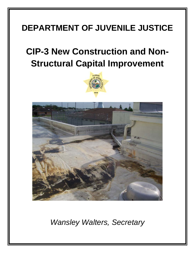## **DEPARTMENT OF JUVENILE JUSTICE**

## **CIP-3 New Construction and Non-Structural Capital Improvement**





*Wansley Walters, Secretary*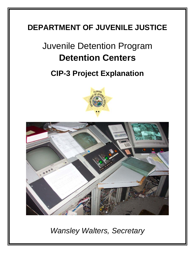### **DEPARTMENT OF JUVENILE JUSTICE**

# Juvenile Detention Program **Detention Centers**

**CIP-3 Project Explanation**





*Wansley Walters, Secretary*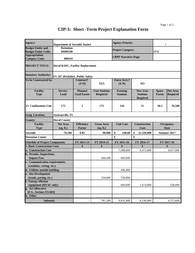| Agency:                               | <b>Department of Juvenile Justice</b>   |                                      |                                         | <b>Agency Priority:</b>            |                                                       | 1                             |                                    |
|---------------------------------------|-----------------------------------------|--------------------------------------|-----------------------------------------|------------------------------------|-------------------------------------------------------|-------------------------------|------------------------------------|
| <b>Budget Entity and</b>              | <b>Detention</b>                        |                                      |                                         | <b>Project Category:</b>           |                                                       |                               |                                    |
| <b>Budget Entity Code:</b>            | 80400100                                |                                      |                                         |                                    |                                                       | <b>SFM</b>                    |                                    |
| <b>Appropriation</b>                  |                                         |                                      |                                         | <b>LRPP Narrative Page:</b>        |                                                       |                               |                                    |
| <b>Category Code:</b>                 | 080410                                  |                                      |                                         |                                    |                                                       |                               |                                    |
| <b>PROJECT TITLE:</b>                 | <b>Duval RJDC, Facility Replacement</b> |                                      |                                         |                                    |                                                       |                               |                                    |
| <b>Statutory Authority:</b>           | FS $187.201(6)(b)1$ , Public Safety     |                                      |                                         |                                    |                                                       |                               |                                    |
| To be Constructed by:                 |                                         | Contract?<br>(Y/N)                   | <b>YES</b>                              | <b>Force Acct.?</b><br>(Y/N)       | N <sub>O</sub>                                        |                               |                                    |
| <b>Facility</b><br><b>Type</b>        | <b>Service</b><br>Load                  | <b>Planned</b><br><b>Used Factor</b> | <b>User Stations</b><br><b>Required</b> | <b>Existing</b><br><b>Stations</b> | <b>New User</b><br><b>Stations</b><br><b>Required</b> | <b>Space</b><br><b>Factor</b> | <b>Net Area</b><br><b>Required</b> |
| 15. Confinement Unit                  | 175                                     | 1                                    | 175                                     | 144                                | 31                                                    | 96.5                          | 76,500                             |
| <b>Geog. Location:</b>                | Jacksonville, FL                        |                                      |                                         |                                    |                                                       |                               |                                    |
| <b>County:</b>                        | <b>Duval County</b>                     |                                      |                                         |                                    |                                                       |                               |                                    |
| <b>Facility</b><br><b>Type</b>        | <b>Net Area</b><br>(sq. ft.)            | <b>Efficiency</b><br><b>Factor</b>   | <b>Gross Area</b><br>(sq. ft.)          | <b>Unit Cost</b>                   | Construction<br>Cost                                  |                               | Occupancy<br><b>Date</b>           |
| <b>Juvenile</b>                       | 76,500                                  | 0.85                                 | 90,000                                  | \$<br>248.00                       | \$<br>22,320,000                                      |                               | Summer 2017                        |
| <b>Detention Center</b>               |                                         |                                      |                                         | \$                                 | \$                                                    |                               |                                    |
| <b>Schedule of Project Components</b> |                                         | FY 2013-14                           | FY 2014-15                              | FY 2015-16                         | FY 2016-17                                            |                               | FY 2017-18                         |
| <b>1. Basic Construction Costs</b>    |                                         | \$                                   | \$                                      | \$                                 | \$                                                    |                               | \$                                 |
| a. Construction Cost                  |                                         |                                      |                                         | 7,588,800                          | 6,472,800                                             |                               | 4,017,600                          |
| b. Permits, Inspections,              |                                         |                                      |                                         |                                    |                                                       |                               |                                    |
| <b>Impact Fees</b>                    |                                         |                                      | 446,400                                 | 669,600                            |                                                       |                               |                                    |
| c. Communication requirements         |                                         |                                      |                                         |                                    |                                                       |                               |                                    |
| (conduits, wiring, etc.)              |                                         |                                      |                                         |                                    |                                                       |                               |                                    |
| d. Utilities outside building         |                                         |                                      |                                         | 446,400                            |                                                       |                               |                                    |
| e. Site Development                   |                                         |                                      |                                         |                                    |                                                       |                               |                                    |
| (roads, paving, etc.)                 |                                         |                                      | 334,800                                 | 558,000                            |                                                       |                               |                                    |
| f. Energy efficient                   |                                         |                                      |                                         |                                    |                                                       |                               |                                    |
| equipment (HVAC only)                 |                                         |                                      |                                         | 669,600                            | 1,674,000                                             |                               | 558,000                            |
| g. Art allowance                      |                                         |                                      |                                         |                                    |                                                       |                               |                                    |
| (F.S., Section 255.043)               |                                         |                                      |                                         |                                    |                                                       |                               |                                    |
| h. Other                              |                                         |                                      |                                         |                                    |                                                       |                               |                                    |
| Subtotal:                             |                                         | $\overline{a}$                       | 781,200                                 | 9.932.400                          | 8.146.800                                             |                               | 4,575,600                          |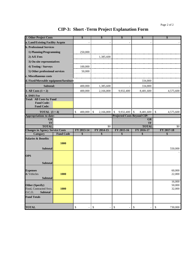| 2. Other Project Costs                              |                  | \$                             | S                       | \$                                 | \$                         | \$              |
|-----------------------------------------------------|------------------|--------------------------------|-------------------------|------------------------------------|----------------------------|-----------------|
| a. Land/Existing Facility Acqstn                    |                  |                                |                         |                                    |                            |                 |
| <b>b. Professional Services</b>                     |                  |                                |                         |                                    |                            |                 |
| 1) Planning/Programming                             |                  | 250,000                        |                         |                                    |                            |                 |
| $2)$ A/E Fees                                       |                  |                                | 1,385,600               |                                    |                            |                 |
| 3) On-site representatives                          |                  |                                |                         |                                    |                            |                 |
| 4) Testing / Surveys                                |                  | 100,000                        |                         |                                    |                            |                 |
| 5) Other professional services                      |                  | 50,000                         |                         |                                    |                            |                 |
| c. Miscellaneous costs                              |                  |                                |                         |                                    |                            |                 |
| d. Fixed/Moveable equipment/furniture               |                  |                                |                         |                                    | 334,800                    |                 |
| Subtotal:                                           |                  | 400,000                        | 1,385,600               |                                    | 334,800                    |                 |
| 3. All Costs $(1 + 2)$                              |                  | 400,000                        | 2,166,800               | 9,932,400                          | 8,481,600                  | 4,575,600       |
| 4. DMS Fee                                          |                  |                                |                         |                                    |                            |                 |
| <b>Total: All Costs by Fund</b>                     |                  |                                |                         |                                    |                            |                 |
| <b>Fund Code:</b>                                   |                  |                                |                         |                                    |                            |                 |
| <b>Fund Code:</b>                                   |                  |                                |                         |                                    |                            |                 |
| <b>TOTAL</b> $(3+4)$                                |                  | \$<br>400,000                  | \$<br>2,166,800         | $\mathbb{S}$<br>9,932,400          | $\mathcal{S}$<br>8,481,600 | \$<br>4,575,600 |
| <b>Appropriations to-date:</b>                      |                  |                                |                         | <b>Projected Costs Beyond CIP:</b> |                            |                 |
| <b>GR</b><br>TF                                     |                  |                                |                         |                                    | <b>GR</b><br>TF            |                 |
| <b>TOTAL</b>                                        |                  |                                | $\overline{50}$         |                                    | <b>TOTAL</b>               | \$0             |
| <b>Changes in Agency Service Costs</b>              |                  | FY 2013-14                     | FY 2014-15              | FY 2015-16                         | FY 2016-17                 | FY 2017-18      |
| <b>Category</b>                                     | <b>Fund Code</b> | \$                             | \$                      | \$                                 | \$                         | \$              |
| <b>Salaries &amp; Benefits</b>                      |                  |                                |                         |                                    |                            |                 |
|                                                     | 1000             |                                |                         |                                    |                            |                 |
| <b>Subtotal</b>                                     |                  |                                |                         |                                    |                            | 550,000         |
|                                                     |                  |                                |                         |                                    |                            |                 |
| <b>OPS</b>                                          |                  |                                |                         |                                    |                            |                 |
| <b>Subtotal</b>                                     |                  |                                |                         |                                    |                            |                 |
|                                                     |                  |                                |                         |                                    |                            |                 |
| <b>Expenses</b>                                     |                  |                                |                         |                                    |                            | 60,000          |
| & Vehicles<br><b>Subtotal</b>                       | 1000             |                                |                         |                                    |                            | 22,000          |
|                                                     |                  |                                |                         |                                    |                            | 16,000          |
| <b>Other (Specify)</b>                              |                  |                                |                         |                                    |                            | 50,000          |
| Food, Contracted Svcs.<br>0.C.O.<br><b>Subtotal</b> | 1000             |                                |                         |                                    |                            | 32,000          |
|                                                     |                  |                                |                         |                                    |                            |                 |
| <b>Fund Totals</b>                                  |                  |                                |                         |                                    |                            |                 |
| <b>TOTAL</b>                                        |                  | \$<br>$\overline{\phantom{a}}$ | \$<br>$\qquad \qquad -$ | $\mathbb{S}$                       | \$<br>$\qquad \qquad -$    | \$<br>730,000   |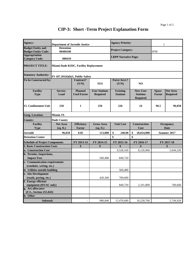| Agency:                                                | <b>Department of Juvenile Justice</b>        |                                    |                                | <b>Agency Priority:</b>      |                                    | 1             |                          |
|--------------------------------------------------------|----------------------------------------------|------------------------------------|--------------------------------|------------------------------|------------------------------------|---------------|--------------------------|
| <b>Budget Entity and</b><br><b>Budget Entity Code:</b> | <b>Detention</b><br>80400100                 |                                    |                                | <b>Project Category:</b>     |                                    | <b>SFM</b>    |                          |
| <b>Appropriation</b><br><b>Category Code:</b>          | 080410                                       |                                    |                                | <b>LRPP Narrative Page:</b>  |                                    |               |                          |
|                                                        |                                              |                                    |                                |                              |                                    |               |                          |
| <b>PROJECT TITLE:</b>                                  | <b>Miami-Dade RJDC, Facility Replacement</b> |                                    |                                |                              |                                    |               |                          |
| <b>Statutory Authority:</b>                            | FS 187.201(6)(b)1, Public Safety             |                                    |                                |                              |                                    |               |                          |
| To be Constructed by:                                  |                                              | <b>Contract?</b><br>(Y/N)          | <b>YES</b>                     | <b>Force Acct.?</b><br>(Y/N) | N <sub>O</sub>                     |               |                          |
| <b>Facility</b>                                        | <b>Service</b>                               | <b>Planned</b>                     | <b>User Stations</b>           | <b>Existing</b>              | <b>New User</b>                    | <b>Space</b>  | <b>Net Area</b>          |
| <b>Type</b>                                            | Load                                         | <b>Used Factor</b>                 | <b>Required</b>                | <b>Stations</b>              | <b>Stations</b><br><b>Required</b> | <b>Factor</b> | <b>Required</b>          |
| 15. Confinement Unit                                   | 250                                          | 1                                  | 250                            | 226                          | 24                                 | 96.5          | 96,050                   |
| <b>Geog. Location:</b>                                 | Miami, FL                                    |                                    |                                |                              |                                    |               |                          |
| <b>County:</b>                                         | <b>Dade County</b>                           |                                    |                                |                              |                                    |               |                          |
| <b>Facility</b><br><b>Type</b>                         | <b>Net Area</b><br>(sq. ft.)                 | <b>Efficiency</b><br><b>Factor</b> | <b>Gross Area</b><br>(sq. ft.) | <b>Unit Cost</b>             | <b>Construction</b><br>Cost        |               | <b>Occupancy</b><br>Date |
| <b>Juvenile</b>                                        | 96,050                                       | 0.85                               | 113,000                        | \$<br>248.00                 | \$<br>28,024,000                   |               | Summer 2017              |
| <b>Detention Center</b>                                |                                              |                                    |                                | \$                           | \$                                 |               |                          |
| <b>Schedule of Project Components</b>                  |                                              | FY 2013-14                         | FY 2014-15                     | FY 2015-16                   | FY 2016-17                         |               | FY 2017-18               |
| <b>1. Basic Construction Costs</b>                     |                                              | \$                                 | \$                             | \$                           | \$                                 |               | \$                       |
| a. Construction Cost                                   |                                              |                                    |                                | 9,528,160                    | 8,126,960                          |               | 5,044,320                |
| b. Permits, Inspections,                               |                                              |                                    |                                |                              |                                    |               |                          |
| <b>Impact Fees</b>                                     |                                              |                                    | 560,480                        | 840,720                      |                                    |               |                          |
| c. Communication requirements                          |                                              |                                    |                                |                              |                                    |               |                          |
| (conduits, wiring, etc.)                               |                                              |                                    |                                |                              |                                    |               |                          |
| d. Utilities outside building                          |                                              |                                    |                                | 560,480                      |                                    |               |                          |
| e. Site Development                                    |                                              |                                    |                                |                              |                                    |               |                          |
| (roads, paving, etc.)                                  |                                              |                                    | 420,360                        | 700,600                      |                                    |               |                          |
| f. Energy efficient                                    |                                              |                                    |                                |                              |                                    |               |                          |
| equipment (HVAC only)<br>g. Art allowance              |                                              |                                    |                                | 840,720                      | 2,101,800                          |               | 700,600                  |
| (F.S., Section 255.043)                                |                                              |                                    |                                |                              |                                    |               |                          |
| h. Other                                               |                                              |                                    |                                |                              |                                    |               |                          |
| Subtotal:                                              |                                              |                                    | 980,840                        | 12,470,680                   |                                    |               |                          |
|                                                        |                                              | $\overline{a}$                     |                                |                              | 10,228,760                         |               | 5,744,920                |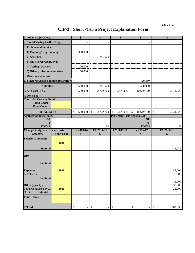| 2. Other Project Costs                 |                  | \$                                       | \$                               | \$                                 | \$                          | \$                         |
|----------------------------------------|------------------|------------------------------------------|----------------------------------|------------------------------------|-----------------------------|----------------------------|
| a. Land/Existing Facility Acqstn       |                  |                                          |                                  |                                    |                             |                            |
| <b>b. Professional Services</b>        |                  |                                          |                                  |                                    |                             |                            |
| 1) Planning/Programming                |                  | 350,000                                  |                                  |                                    |                             |                            |
| 2) A/E Fees                            |                  |                                          | 1,741,920                        |                                    |                             |                            |
| 3) On-site representatives             |                  |                                          |                                  |                                    |                             |                            |
| 4) Testing / Surveys                   |                  | 100,000                                  |                                  |                                    |                             |                            |
| 5) Other professional services         |                  | 50,000                                   |                                  |                                    |                             |                            |
| c. Miscellaneous costs                 |                  |                                          |                                  |                                    |                             |                            |
| d. Fixed/Moveable equipment/furniture  |                  |                                          |                                  |                                    | 420,360                     |                            |
| Subtotal:                              |                  | 500,000                                  | 1,741,920                        |                                    | 420,360                     |                            |
| 3. All Costs $(1 + 2)$                 |                  | 500,000                                  | 2,722,760                        | 12,470,680                         | 10,649,120                  | 5,744,920                  |
| 4. DMS Fee                             |                  |                                          |                                  |                                    |                             |                            |
| <b>Total: All Costs by Fund</b>        |                  |                                          |                                  |                                    |                             |                            |
| <b>Fund Code:</b>                      |                  |                                          |                                  |                                    |                             |                            |
| <b>Fund Code:</b>                      |                  |                                          |                                  |                                    |                             |                            |
| <b>TOTAL</b> $(3+4)$                   |                  | \$<br>500,000                            | $\mathbb{S}$<br>2,722,760        | \$12,470,680                       | $\mathcal{S}$<br>10,649,120 | $\mathsf{\$}$<br>5,744,920 |
| <b>Appropriations to-date:</b><br>GR   |                  |                                          |                                  | <b>Projected Costs Beyond CIP:</b> | <b>GR</b>                   |                            |
| TF                                     |                  |                                          |                                  |                                    | TF                          |                            |
| <b>TOTAL</b>                           |                  |                                          | \$0                              |                                    | <b>TOTAL</b>                | $\sqrt{6}$                 |
| <b>Changes in Agency Service Costs</b> |                  | FY 2013-14                               | FY 2014-15                       | FY 2015-16                         | FY 2016-17                  | FY 2017-18                 |
| <b>Category</b>                        | <b>Fund Code</b> | \$                                       | \$                               | \$                                 | \$                          | \$                         |
| <b>Salaries &amp; Benefits</b>         |                  |                                          |                                  |                                    |                             |                            |
|                                        | 1000             |                                          |                                  |                                    |                             |                            |
| Subtotal                               |                  |                                          |                                  |                                    |                             |                            |
|                                        |                  |                                          |                                  |                                    |                             | 423,036                    |
|                                        |                  |                                          |                                  |                                    |                             |                            |
| <b>OPS</b>                             |                  |                                          |                                  |                                    |                             |                            |
| <b>Subtotal</b>                        |                  |                                          |                                  |                                    |                             |                            |
|                                        |                  |                                          |                                  |                                    |                             |                            |
| <b>Expenses</b>                        | 1000             |                                          |                                  |                                    |                             | 47,000                     |
| & Vehicles                             |                  |                                          |                                  |                                    |                             | 17,000                     |
| <b>Subtotal</b>                        |                  |                                          |                                  |                                    |                             | 12,000                     |
| <b>Other (Specify)</b>                 |                  |                                          |                                  |                                    |                             | 38,000                     |
| Food, Contracted Svcs.                 | 1000             |                                          |                                  |                                    |                             | 25,000                     |
| 0.C.O.<br><b>Subtotal</b>              |                  |                                          |                                  |                                    |                             |                            |
| <b>Fund Totals</b>                     |                  |                                          |                                  |                                    |                             |                            |
| <b>TOTAL</b>                           |                  | $\mathbb{S}$<br>$\overline{\phantom{0}}$ | $\$$<br>$\overline{\phantom{m}}$ | \$<br>$\qquad \qquad \blacksquare$ | \$                          | $\$$<br>562,036            |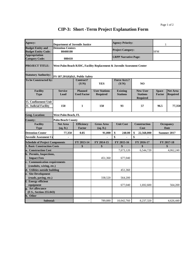| Agency:                               | <b>Department of Juvenile Justice</b> |                    |                                                                        | <b>Agency Priority:</b>     |                                    | 1             |                  |
|---------------------------------------|---------------------------------------|--------------------|------------------------------------------------------------------------|-----------------------------|------------------------------------|---------------|------------------|
| <b>Budget Entity and</b>              | <b>Detention Centers</b>              |                    |                                                                        | <b>Project Category:</b>    |                                    |               |                  |
| <b>Budget Entity Code:</b>            | 80400100                              |                    |                                                                        |                             |                                    | <b>SFM</b>    |                  |
| <b>Appropriation</b>                  |                                       |                    |                                                                        | <b>LRPP Narrative Page:</b> |                                    |               |                  |
| <b>Category Code:</b>                 | 080410                                |                    |                                                                        |                             |                                    |               |                  |
| <b>PROJECT TITLE:</b>                 |                                       |                    | West Palm Beach RJDC, Facility Replacement & Juvenile Assesment Center |                             |                                    |               |                  |
| <b>Statutory Authority:</b>           | FS 187.201(6)(b)1, Public Safety      |                    |                                                                        |                             |                                    |               |                  |
| To be Constructed by:                 |                                       | <b>Contract?</b>   |                                                                        | <b>Force Acct.?</b>         |                                    |               |                  |
|                                       |                                       | (Y/N)              | <b>YES</b>                                                             | (Y/N)                       | N <sub>O</sub>                     |               |                  |
| <b>Facility</b>                       | <b>Service</b>                        | <b>Planned</b>     | <b>User Stations</b>                                                   | <b>Existing</b>             | <b>New User</b>                    | <b>Space</b>  | <b>Net Area</b>  |
| <b>Type</b>                           | Load                                  | <b>Used Factor</b> | <b>Required</b>                                                        | <b>Stations</b>             | <b>Stations</b><br><b>Required</b> | <b>Factor</b> | <b>Required</b>  |
| 15. Confinement Unit                  |                                       |                    |                                                                        |                             |                                    |               |                  |
| 31. Judicial Facility                 | 150                                   | 1                  | 150                                                                    | 93                          | 57                                 | 96.5          | 77,350           |
| <b>Geog. Location:</b>                | West Palm Beach, FL                   |                    |                                                                        |                             |                                    |               |                  |
| <b>County:</b>                        | <b>Palm Beach County</b>              |                    |                                                                        |                             |                                    |               |                  |
| <b>Facility</b>                       | <b>Net Area</b>                       | <b>Efficiency</b>  | <b>Gross Area</b>                                                      | <b>Unit Cost</b>            | <b>Construction</b>                |               | <b>Occupancy</b> |
| <b>Type</b>                           | (sq. ft.)                             | <b>Factor</b>      | (sq. ft.)                                                              |                             | Cost                               |               | <b>Date</b>      |
| <b>Detention Center</b>               | 77,350                                | 0.85               | 91,000                                                                 | \$<br>248.00                | \$<br>22,568,000                   |               | Summer 2017      |
| Juvenile Assesment Ce                 |                                       |                    |                                                                        | \$                          | \$                                 |               |                  |
| <b>Schedule of Project Components</b> |                                       | FY 2013-14         | FY 2014-15                                                             | FY 2015-16                  | FY 2016-17                         |               | FY 2017-18       |
| <b>1. Basic Construction Costs</b>    |                                       | \$                 | \$                                                                     | \$                          | \$                                 |               | \$               |
| a. Construction Cost                  |                                       |                    |                                                                        | 7,673,120                   | 6,544,720                          |               | 4,062,240        |
| <b>b.</b> Permits, Inspections,       |                                       |                    |                                                                        |                             |                                    |               |                  |
| <b>Impact Fees</b>                    |                                       |                    | 451,360                                                                | 677,040                     |                                    |               |                  |
| c. Communication requirements         |                                       |                    |                                                                        |                             |                                    |               |                  |
| (conduits, wiring, etc.)              |                                       |                    |                                                                        |                             |                                    |               |                  |
| d. Utilities outside building         |                                       |                    |                                                                        | 451,360                     |                                    |               |                  |
| e. Site Development                   |                                       |                    |                                                                        |                             |                                    |               |                  |
| (roads, paving, etc.)                 |                                       |                    | 338,520                                                                | 564,200                     |                                    |               |                  |
| f. Energy efficient                   |                                       |                    |                                                                        |                             |                                    |               |                  |
| equipment                             |                                       |                    |                                                                        | 677,040                     | 1,692,600                          |               | 564,200          |
| g. Art allowance                      |                                       |                    |                                                                        |                             |                                    |               |                  |
| (F.S., Section 255.043)               |                                       |                    |                                                                        |                             |                                    |               |                  |
| h. Other                              |                                       |                    |                                                                        |                             |                                    |               |                  |
| Subtotal:                             |                                       |                    | 789.880                                                                | 10.042.760                  | 8,237,320                          |               | 4,626,440        |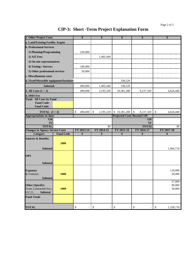| 2. Other Project Costs                      |                  | \$                             | S                       | \$                                 | \$                         | \$              |
|---------------------------------------------|------------------|--------------------------------|-------------------------|------------------------------------|----------------------------|-----------------|
| a. Land/Existing Facility Acqstn            |                  |                                |                         |                                    |                            |                 |
| <b>b. Professional Services</b>             |                  |                                |                         |                                    |                            |                 |
| 1) Planning/Programming                     |                  | 250,000                        |                         |                                    |                            |                 |
| 2) A/E Fees                                 |                  |                                | 1,405,440               |                                    |                            |                 |
| 3) On-site representatives                  |                  |                                |                         |                                    |                            |                 |
| 4) Testing / Surveys                        |                  | 100,000                        |                         |                                    |                            |                 |
| 5) Other professional services              |                  | 50,000                         |                         |                                    |                            |                 |
| c. Miscellaneous costs                      |                  |                                |                         |                                    |                            |                 |
| d. Fixed/Moveable equipment/furniture       |                  |                                |                         | 338,520                            |                            |                 |
| Subtotal:                                   |                  | 400,000                        | 1,405,440               | 338,520                            |                            |                 |
| 3. All Costs $(1 + 2)$                      |                  | 400,000                        | 2,195,320               | 10,381,280                         | 8,237,320                  | 4,626,440       |
| 4. DMS Fee                                  |                  |                                |                         |                                    |                            |                 |
| <b>Total: All Costs by Fund</b>             |                  |                                |                         |                                    |                            |                 |
| <b>Fund Code:</b>                           |                  |                                |                         |                                    |                            |                 |
| <b>Fund Code:</b>                           |                  |                                |                         |                                    |                            |                 |
| <b>TOTAL</b> $(3+4)$                        |                  | \$<br>400,000                  | \$<br>2,195,320         | \$10,381,280                       | $\mathcal{S}$<br>8,237,320 | \$<br>4,626,440 |
| <b>Appropriations to-date:</b><br><b>GR</b> |                  |                                |                         | <b>Projected Costs Beyond CIP:</b> | <b>GR</b>                  |                 |
| <b>TF</b>                                   |                  |                                |                         |                                    | TF                         |                 |
| <b>TOTAL</b>                                |                  |                                | $\overline{50}$         |                                    | <b>TOTAL</b>               | \$0             |
| <b>Changes in Agency Service Costs</b>      |                  | FY 2013-14                     | FY 2014-15              | FY 2015-16                         | FY 2016-17                 | FY 2017-18      |
| <b>Category</b>                             | <b>Fund Code</b> | \$                             | \$                      | \$                                 | \$                         | \$              |
| <b>Salaries &amp; Benefits</b>              |                  |                                |                         |                                    |                            |                 |
|                                             | 1000             |                                |                         |                                    |                            |                 |
|                                             |                  |                                |                         |                                    |                            |                 |
| <b>Subtotal</b>                             |                  |                                |                         |                                    |                            | 1,004,710       |
|                                             |                  |                                |                         |                                    |                            |                 |
| <b>OPS</b>                                  |                  |                                |                         |                                    |                            |                 |
| <b>Subtotal</b>                             |                  |                                |                         |                                    |                            |                 |
|                                             |                  |                                |                         |                                    |                            |                 |
| <b>Expenses</b>                             |                  |                                |                         |                                    |                            | 110,000         |
| & Vehicles                                  | 1000             |                                |                         |                                    |                            | 39,000          |
| <b>Subtotal</b>                             |                  |                                |                         |                                    |                            | 27,000          |
| <b>Other (Specify)</b>                      |                  |                                |                         |                                    |                            | 90,000          |
| Food, Contracted Svcs.                      | 1000             |                                |                         |                                    |                            | 58,000          |
| 0.C.O.<br><b>Subtotal</b>                   |                  |                                |                         |                                    |                            |                 |
| <b>Fund Totals</b>                          |                  |                                |                         |                                    |                            |                 |
| <b>TOTAL</b>                                |                  | \$<br>$\overline{\phantom{a}}$ | \$<br>$\qquad \qquad -$ | $\mathbb{S}$                       | \$<br>$\qquad \qquad -$    | \$<br>1,328,710 |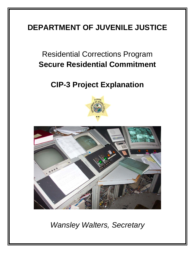### **DEPARTMENT OF JUVENILE JUSTICE**

### Residential Corrections Program **Secure Residential Commitment**

### **CIP-3 Project Explanation**





*Wansley Walters, Secretary*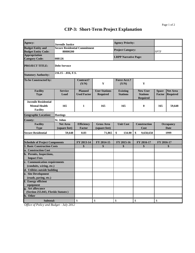| Agency:                                                                | <b>Juvenile Justice</b>                          |                                      |                                         | <b>Agency Priority:</b>            |                                                       |                               |                                    |
|------------------------------------------------------------------------|--------------------------------------------------|--------------------------------------|-----------------------------------------|------------------------------------|-------------------------------------------------------|-------------------------------|------------------------------------|
| <b>Budget Entity and</b><br><b>Budget Entity Code:</b>                 | <b>Secure Residential Commitment</b><br>80800200 |                                      |                                         | <b>Project Category:</b>           |                                                       | <b>SPTF</b>                   |                                    |
| <b>Appropriation</b><br><b>Category Code:</b>                          | 088126                                           |                                      |                                         | <b>LRPP Narrative Page:</b>        |                                                       |                               |                                    |
| <b>PROJECT TITLE:</b>                                                  | <b>Debt Servoce</b>                              |                                      |                                         |                                    |                                                       |                               |                                    |
| <b>Statutory Authority:</b>                                            | $216.15 - .016$ , F.S.                           |                                      |                                         |                                    |                                                       |                               |                                    |
| To be Constructed by:                                                  |                                                  | Contract?<br>(Y/N)                   | Y                                       | <b>Force Acct.?</b><br>(Y/N)       | Y                                                     |                               |                                    |
| <b>Facility</b><br><b>Type</b>                                         | <b>Service</b><br>Load                           | <b>Planned</b><br><b>Used Factor</b> | <b>User Stations</b><br><b>Required</b> | <b>Existing</b><br><b>Stations</b> | <b>New User</b><br><b>Stations</b><br><b>Required</b> | <b>Space</b><br><b>Factor</b> | <b>Net Area</b><br><b>Required</b> |
| <b>Juvenile Residential</b><br><b>Mental Health</b><br><b>Facility</b> | 165                                              | 1                                    | 165                                     | 165                                | $\bf{0}$                                              | 165                           | 59,648                             |
| <b>Geographic Location:</b>                                            | <b>Hastings</b>                                  |                                      |                                         |                                    |                                                       |                               |                                    |
| <b>County:</b>                                                         | <b>St. Johns</b>                                 |                                      |                                         |                                    |                                                       |                               |                                    |
| <b>Facility</b><br><b>Type</b>                                         | <b>Net Area</b><br>(square feet)                 | <b>Efficiency</b><br><b>Factor</b>   | <b>Gross Area</b><br>(square feet)      | <b>Unit Cost</b>                   | <b>Construction</b><br>Cost                           |                               | Occupancy<br><b>Date</b>           |
| <b>Secure Residential</b>                                              | 59,648                                           | 0.83                                 | 71,865                                  | \$<br>134.00                       | \$<br>9,658,658                                       |                               | 1999                               |
| <b>Schedule of Project Components</b>                                  |                                                  | FY 2013-14                           | FY 2014-15                              | FY 2015-16                         | FY 2016-17                                            | FY 2016-17                    |                                    |
| <b>1. Basic Construction Costs</b>                                     |                                                  | \$                                   | \$                                      | \$                                 | \$                                                    |                               | \$                                 |
| a. Construction Cost                                                   |                                                  |                                      |                                         |                                    |                                                       |                               |                                    |
| b. Permits, Inspections,<br><b>Impact Fees</b>                         |                                                  |                                      |                                         |                                    |                                                       |                               |                                    |
| c. Communication requirements                                          |                                                  |                                      |                                         |                                    |                                                       |                               |                                    |
| (conduits, wiring, etc.)                                               |                                                  |                                      |                                         |                                    |                                                       |                               |                                    |
| d. Utilities outside building<br>e. Site Development                   |                                                  |                                      |                                         |                                    |                                                       |                               |                                    |
| (roads, paving, etc.)                                                  |                                                  |                                      |                                         |                                    |                                                       |                               |                                    |
| f. Energy efficient                                                    |                                                  |                                      |                                         |                                    |                                                       |                               |                                    |
| equipment                                                              |                                                  |                                      |                                         |                                    |                                                       |                               |                                    |
| g. Art allowance                                                       |                                                  |                                      |                                         |                                    |                                                       |                               |                                    |
| (Section 255.043, Florida Statutes)<br>h. Other                        |                                                  |                                      |                                         |                                    |                                                       |                               |                                    |
|                                                                        |                                                  |                                      |                                         |                                    |                                                       |                               |                                    |
| Subtotal:                                                              |                                                  | \$                                   | \$                                      | \$                                 | \$                                                    | \$                            |                                    |

*Office of Policy and Budget - July 2012*